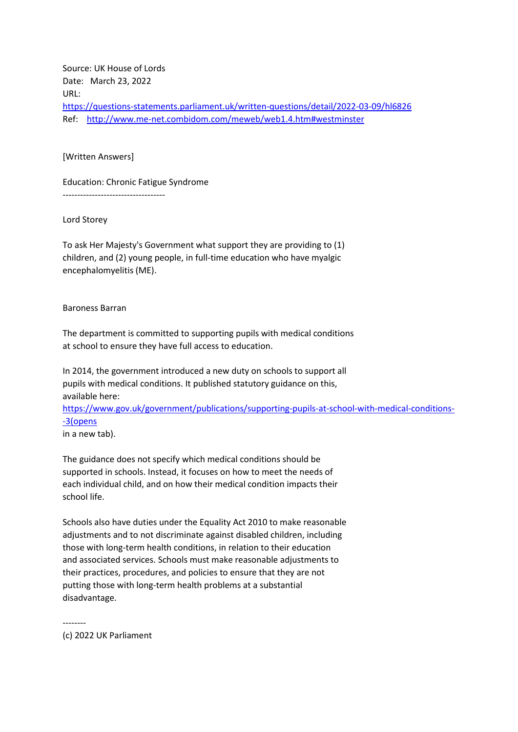Source: UK House of Lords Date: March 23, 2022 URL: <https://questions-statements.parliament.uk/written-questions/detail/2022-03-09/hl6826> Ref: <http://www.me-net.combidom.com/meweb/web1.4.htm#westminster>

[Written Answers]

Education: Chronic Fatigue Syndrome

-----------------------------------

Lord Storey

To ask Her Majesty's Government what support they are providing to (1) children, and (2) young people, in full-time education who have myalgic encephalomyelitis (ME).

Baroness Barran

The department is committed to supporting pupils with medical conditions at school to ensure they have full access to education.

In 2014, the government introduced a new duty on schools to support all pupils with medical conditions. It published statutory guidance on this, available here:

[https://www.gov.uk/government/publications/supporting-pupils-at-school-with-medical-conditions-](https://www.gov.uk/government/publications/supporting-pupils-at-school-with-medical-conditions--3(opens) [-3\(opens](https://www.gov.uk/government/publications/supporting-pupils-at-school-with-medical-conditions--3(opens)

in a new tab).

The guidance does not specify which medical conditions should be supported in schools. Instead, it focuses on how to meet the needs of each individual child, and on how their medical condition impacts their school life.

Schools also have duties under the Equality Act 2010 to make reasonable adjustments and to not discriminate against disabled children, including those with long-term health conditions, in relation to their education and associated services. Schools must make reasonable adjustments to their practices, procedures, and policies to ensure that they are not putting those with long-term health problems at a substantial disadvantage.

(c) 2022 UK Parliament

--------